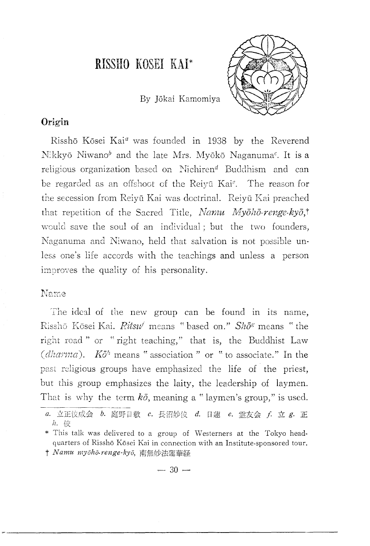# **RISSHO** KOSEl KAI\*



By Jokai Kamomiya

# Origin

Risshō Kōsei Kai<sup>a</sup> was founded in 1938 by the Reverend Nikkvō Niwano<sup>b</sup> and the late Mrs. Myōkō Naganuma<sup>c</sup>. It is a religious organization based on Nichiren<sup>d</sup> Buddhism and can be regarded as an offshoot of the Reiyū Kai<sup>e</sup>. The reason for the secession from Reiyū Kai was doctrinal. Reiyū Kai preached that repetition of the Sacred Title, *Namu Myōhō-renge-kyō*,<sup>†</sup> would save the soul of an individual; but the two founders, Naganuma and Niwano, held that salvation is not possible unless one's life accords with the teachings and unless a person improves the quality of his personality.

### Name

The ideal of the new group can be found in its name, Risshō Kōsei Kai. *Ritsu<sup>f</sup>* means "based on." *Shō<sup>g</sup>* means "the right road" or "right teaching," that is, the Buddhist Law (*dharma*).  $K\bar{o}^h$  means " association " or " to associate." In the past religious groups have emphasized the life of the priest, but this group emphasizes the laity, the leadership of laymen. That is why the term  $k\bar{o}$ , meaning a " laymen's group," is used.

 $- 30 -$ 

a. 立正佼成会 b. 庭野日敬 c. 長沼妙佼 d. 日蓮 e. 霊友会 f. 立 g. 正 h. 佼

<sup>\*</sup> This talk was delivered to a group of Westerners at the Tokyo headquarters of Rissho Kosei Kai in connection with an Institute-sponsored tour. t *Namu myōhō-renge-kyō*, 南無妙法蓮華経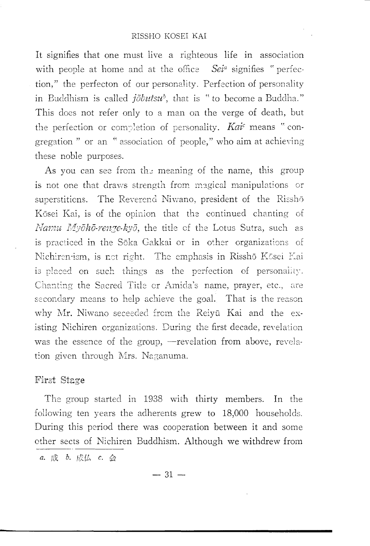It signifies that one must live a righteous life in association with people at home and at the office Sei<sup>a</sup> signifies "perfection," the perfecton of our personality. Perfection of personality in Buddhism is called  $i\overline{\partial}but\overline{\partial}u^b$ , that is " to become a Buddha." This does not refer only to a man on the verge of death, but the perfection or completion of personality. Kai means "congregation " or an " association of people," who aim at achieving these noble purposes.

As you can see from the meaning of the name, this group is not one that draws strength from magical manipulations or superstitions. The Reverend Niwano, president of the Risshō Kōsei Kai, is of the opinion that the continued chanting of Namu Myōhō-renge-kyō, the title of the Lotus Sutra, such as is practiced in the Sōka Gakkai or in other organizations of Nichirentism, is not right. The emphasis in Risshō Kōsei Kai is placed on such things as the perfection of personality. Chanting the Sacred Title or Amida's name, prayer, etc., are secondary means to help achieve the goal. That is the reason why Mr. Niwano seceeded from the Reiyū Kai and the existing Nichiren organizations. During the first decade, revelation was the essence of the group, -revelation from above, revelation given through Mrs. Naganuma.

### First Stage

The group started in 1938 with thirty members. In the following ten years the adherents grew to 18,000 households. During this period there was cooperation between it and some other sects of Nichiren Buddhism. Although we withdrew from

a. 成 b. 成仏 c. 会

 $-31-$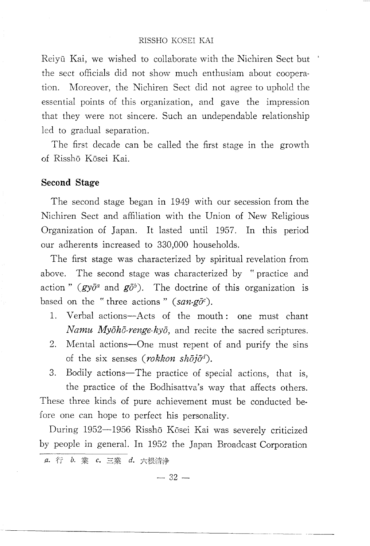#### RISSHO KOSEl KAl

Reivū Kai, we wished to collaborate with the Nichiren Sect but the sect officials did not show much enthusiam about cooperation. Moreover, the Nichiren Sect did not agree to uphold the essential points of this organization, and gave the impression that they were not sincere. Such an undependable relationship led to gradual separation.

The first decade can be called the first stage in the growth of Rissho Kosei Kai.

#### **Second Stage**

The second stage began in 1949 with our secession from the Nichiren Sect and affiliation with the Union of New Religious Organization of Japan. It lasted until 1957. **In** this period our adherents increased to 330,000 households.

The first stage was characterized by spiritual revelation from above. The second stage was characterized by "practice and action" ( $gy\bar{o}^a$  and  $g\bar{o}^b$ ). The doctrine of this organization is based on the "three actions" *(san-go<sup>c</sup>)*.

- l. Verbal actions-Acts of the mouth: one must chant *Namu Myoho-renge-kyo,* and recite the sacred scriptures.
- 2. Mental actions-One must repent of and purify the sins of the six senses *(rokkon shojod).*
- 3. Bodily actions—The practice of special actions, that is, the practice of the Bodhisattva's way that affects others. These three kinds of pure achievement must be conducted before one can hope to perfect his personality.

During 1952-1956 Risshō Kōsei Kai was severely criticized by people in general. **In** 1952 the Japan Broadcast Corporation a. 行 b. 業 c. 三業 d. 六根清浄

 $-32-$ 

------------------------- ----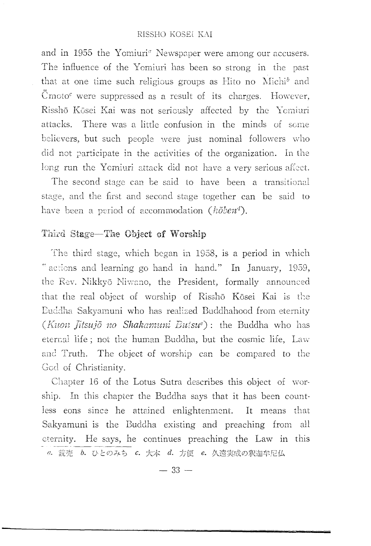#### RISSHO KOSEI KAI

and in 1955 the Yomiuri<sup>a</sup> Newspaper were among our accusers. The influence of the Yomiuri has been so strong in the past that at one time such religious groups as Hito no  $\text{Michi}^b$  and  $\tilde{C}$ moto<sup> $\tilde{C}$ </sup> were suppressed as a result of its charges. However, Risshō Kōsei Kai was not seriously affected by the Yomiuri attacks. There was a little confusion in the minds of some believers, but such people were just nominal followers who did not participate in the activities of the organization. In the long run the Yomiuri attack did not have a very serious affect.

The second stage can be said to have been a transitional stage, and the first and second stage together can be said to have been a period of accommodation *(hoben<sup>d</sup>)*.

# Third Stage-The Object of Worship

The third stage, which began in 1958, is a period in which " actions and learning go hand in hand." In January, 1959, the Rev. Nikkyō Niwano, the President, formally announced that the real object of worship of Risshō Kōsei Kai is the Euddha Sakyamuni who has realized Buddhahood from eternity (Kuon Jitsujō no Shakamuni Buisu<sup>e</sup>): the Buddha who has eternal life; not the human Buddha, but the cosmic life, Law and Truth. The object of worship can be compared to the Gcd of Christianity.

Chapter 16 of the Lotus Sutra describes this object of worship. In this chapter the Buddha says that it has been countless eons since he attained enlightenment. It means that Sakyamuni is the Buddha existing and preaching from all eternity. He says, he continues preaching the Law in this

a. 読売 b. ひとのみち c. 大本 d. 方便 e. 久遠実成の釈迦牟尼仏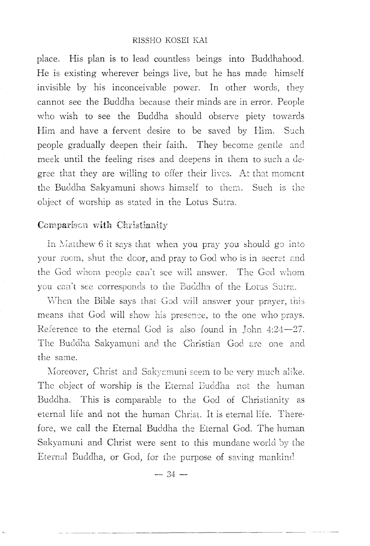#### RISSHO KOSEI KAI

place. His plan is to lead countless beings into Buddhahood. He is existing wherever beings live, but he has made himself invisible by his inconceivable power. In other words, they cannot see the Buddha because their minds are in error. People who wish to see the Buddha should observe piety towards Him and have a fervent desire to be saved by Him. Such people gradually deepen their faith. They become gentle and meek until the feeling rises and deepens in them to such a degree that they are willing to offer their lives. At that moment the Buddha Sakvamuni shows himself to them. Such is the object of worship as stated in the Lotus Sutra.

# Comparison with Christianity

In Matthew 6 it says that when you pray you should go into your room, shut the door, and pray to God who is in secret and the God whom people can't see will answer. The God whom you can't see corresponds to the Buddha of the Lotus Sutra.

When the Bible says that God will answer your prayer, this means that God will show his presence, to the one who prays. Reference to the eternal God is also found in John  $4:24-27$ . The Buddha Sakyamuni and the Christian God are one and the same

Moreover, Christ and Sakyamuni seem to be very much alike. The object of worship is the Eternal Buddha not the human Buddha. This is comparable to the God of Christianity as eternal life and not the human Christ. It is eternal life. Therefore, we call the Eternal Buddha the Eternal God. The human Sakyamuni and Christ were sent to this mundane world by the Eternal Buddha, or God, for the purpose of saving mankind.

 $-34-$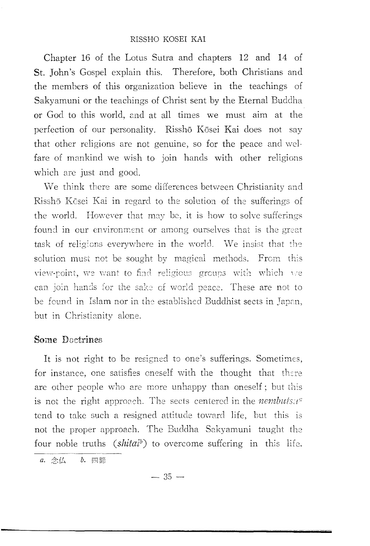Chapter 16 of the Lotus Sutra and chapters 12 and 14 of St. John's Gospel explain this. Therefore, both Christians and the members of this organization believe in the teachings of Sakyamuni or the teachings of Christ sent by the Eternal Buddha or God to this world, 2nd at all times we must aim at the perfection of our personality. Risshō Kōsei Kai does not say that other religions are not genuine, so for the peace and welfare of mankind we wish to join hands with other religions which are just and good.

We think there are some differences between Christianity and Risshō Kōsei Kai in regard to the solution of the sufferings of the world. However that may be, it is how to solve sufferings found in our environment or among ourselves that is the great task of religions everywhere in the world. We insist that the solution must not be sought by magical methods. From this view-point, we want to find religious groups with which we of world peace. These are not to be found in Islam nor in the established Buddhist sects in Japan, but in Christianity alone.

# Some Doctrines

It is not right to be resigned to one's sufferings. Sometimes, for instance, one satisfies oneself with the thought that are other people who are more unhappy than oneself; but this is not the right approach. The sects centered in the *nembuts* $u^{\alpha}$ tend to take such a resigned attitude toward life, but this is not the proper approach. The Buddha Sakyamuni taught the four noble truths *(shitaib)* to overcome suffering in this life.

a. 念仏 b. 四諦

 $-35-$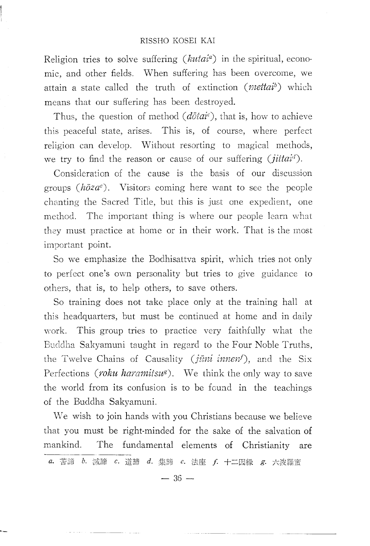#### RISSHO KOSEl KAl

Religion tries to solve suffering *(kutaia )* in the spiritual, economic, and other fields. When suffering has been overcome, we attain a state called the truth of extinction (*mettai*<sup>b</sup>) which means that our suffering has been destroyed.

Thus, the question of method (dotai<sup>c</sup>), that is, how to achieve this peaceful state, arises. This is, of course, where perfect religion can develop. Without resorting to magical methods, we try to find the reason or cause of our suffering (*jittai<sup>d</sup>*).

Consideration of the cause is the basis of our discussion groups  $(h\bar{o}za^e)$ . Visitors coming here want to see the people chanting the Sacred Title, but this is just one expedient, one method. The important thing is where our people learn what they must practice at home or in their work. That is the most important point.

So we emphasize the Bodhisattva spirit, which tries not only to perfect one's own personality but tries to give guidance to others, that is, to help others, to save others.

So training does not take place only at the training hall at this headquarters, but must be continued at home and in daily work. This group tries to practice very faithfully what the Buddha Sakyamuni taught in regard to the Four Noble Truths, the Twelve Chains of Causality (jūni innen!), and the Six Perfections *(roku haramitsu<sup>g</sup>)*. We think the only way to save the world from its confusion is to be found in the teachings of the Buddha Sakyamuni.

We wish to join hands with you Christians because we believe that you must be right-minded for the sake of the salvation of mankind. The fundamental elements of Christianity are<br> **a.** 苦諦 b. 滅諦 c. 道諦 d. 集諦 e. 法座 f. 十二因縁 g. 六波羅蜜

 $-36-$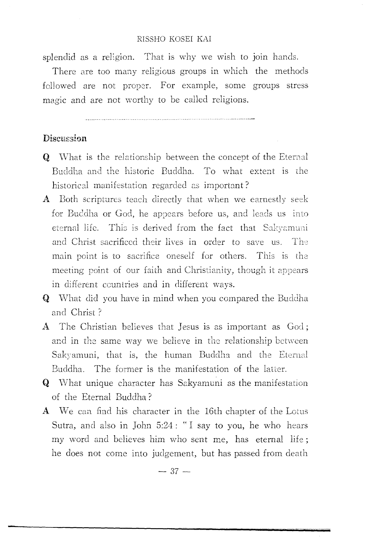#### RISSHO KOSEL KAI

splendid as a religion. That is why we wish to join hands.

There are too many religious groups in which the methods followed are not proper. For example, some groups stress magic and are not worthy to be called religions.

# Discussion

- $\bf{Q}$  What is the relationship between the concept of the Eternal Buddha and the historic Buddha. To what extent is the historical manifestation regarded as important?
- A Both scriptures teach directly that when we earnestly seek for Buddha or God, he appears before us, and leads us into eternal life. This is derived from the fact that Sakvamuni and Christ sacrificed their lives in order to save us. The main point is to sacrifice oneself for others. This is the meeting point of our faith and Christianity, though it appears in different countries and in different ways.
- Q VVhat did you have in mind when you compared the Buddha and Christ?
- A The Christian believes that Jesus is as important as God; and in the same way we believe in the relationship between Sakyamuni, that is, the human Buddha and the Eternal Buddha. The former is the manifestation of the latter.
- **Q** What unique character has Sakyamuni as the manifestation of the Eternal Buddha?
- A We can find his character in the 16th chapter of the Lotus Sutra, and also in John 5:24: "I say to you, he who hears my word and believes him who sent me, has eternal life; he does not come into judgement, but has passed from death

 $-37-$